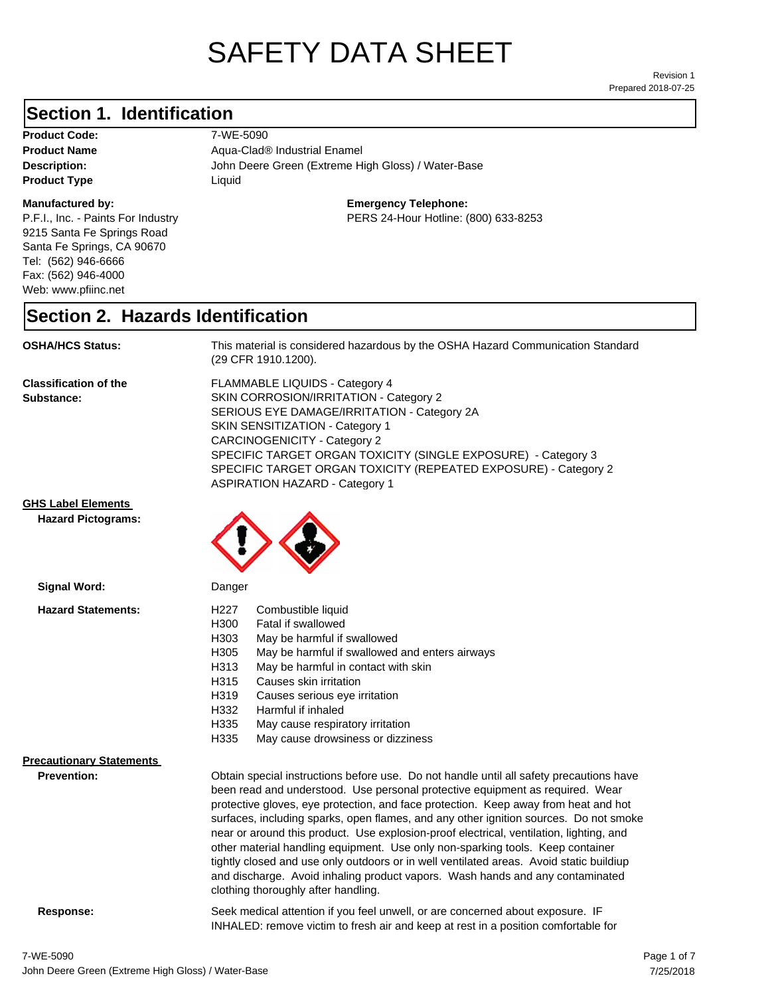# SAFETY DATA SHEET

Prepared 2018-07-25 Revision 1

### **Section 1. Identification**

**Product Code:** 7-WE-5090 **Product Type Liquid Liquid** 

### **Manufactured by:**

P.F.I., Inc. - Paints For Industry 9215 Santa Fe Springs Road Santa Fe Springs, CA 90670 Tel: (562) 946-6666 Fax: (562) 946-4000 Web: www.pfiinc.net

**Description:** John Deere Green (Extreme High Gloss) / Water-Base **Product Name** Aqua-Clad<sup>®</sup> Industrial Enamel

### **Emergency Telephone:**

PERS 24-Hour Hotline: (800) 633-8253

### **Section 2. Hazards Identification**

**OSHA/HCS Status:** This material is considered hazardous by the OSHA Hazard Communication Standard (29 CFR 1910.1200).

**Classification of the Substance:**

FLAMMABLE LIQUIDS - Category 4 SKIN CORROSION/IRRITATION - Category 2 SERIOUS EYE DAMAGE/IRRITATION - Category 2A SKIN SENSITIZATION - Category 1 CARCINOGENICITY - Category 2 SPECIFIC TARGET ORGAN TOXICITY (SINGLE EXPOSURE) - Category 3 SPECIFIC TARGET ORGAN TOXICITY (REPEATED EXPOSURE) - Category 2 ASPIRATION HAZARD - Category 1

INHALED: remove victim to fresh air and keep at rest in a position comfortable for

**GHS Label Elements**

**Hazard Pictograms:**



| Signal Word:                                          | Danger                                                                                                                                                                                                                                                                                                                                                                                                                                                                                                                                                                                                                                                                                                                                                   |
|-------------------------------------------------------|----------------------------------------------------------------------------------------------------------------------------------------------------------------------------------------------------------------------------------------------------------------------------------------------------------------------------------------------------------------------------------------------------------------------------------------------------------------------------------------------------------------------------------------------------------------------------------------------------------------------------------------------------------------------------------------------------------------------------------------------------------|
| <b>Hazard Statements:</b>                             | H227<br>Combustible liquid<br>H300<br>Fatal if swallowed<br>H303<br>May be harmful if swallowed<br>H305<br>May be harmful if swallowed and enters airways<br>May be harmful in contact with skin<br>H313<br>H315<br>Causes skin irritation<br>H319<br>Causes serious eye irritation<br>H332<br>Harmful if inhaled<br>H335<br>May cause respiratory irritation<br>H335<br>May cause drowsiness or dizziness                                                                                                                                                                                                                                                                                                                                               |
| <b>Precautionary Statements</b><br><b>Prevention:</b> | Obtain special instructions before use. Do not handle until all safety precautions have<br>been read and understood. Use personal protective equipment as required. Wear<br>protective gloves, eye protection, and face protection. Keep away from heat and hot<br>surfaces, including sparks, open flames, and any other ignition sources. Do not smoke<br>near or around this product. Use explosion-proof electrical, ventilation, lighting, and<br>other material handling equipment. Use only non-sparking tools. Keep container<br>tightly closed and use only outdoors or in well ventilated areas. Avoid static buildiup<br>and discharge. Avoid inhaling product vapors. Wash hands and any contaminated<br>clothing thoroughly after handling. |
| Response:                                             | Seek medical attention if you feel unwell, or are concerned about exposure. IF                                                                                                                                                                                                                                                                                                                                                                                                                                                                                                                                                                                                                                                                           |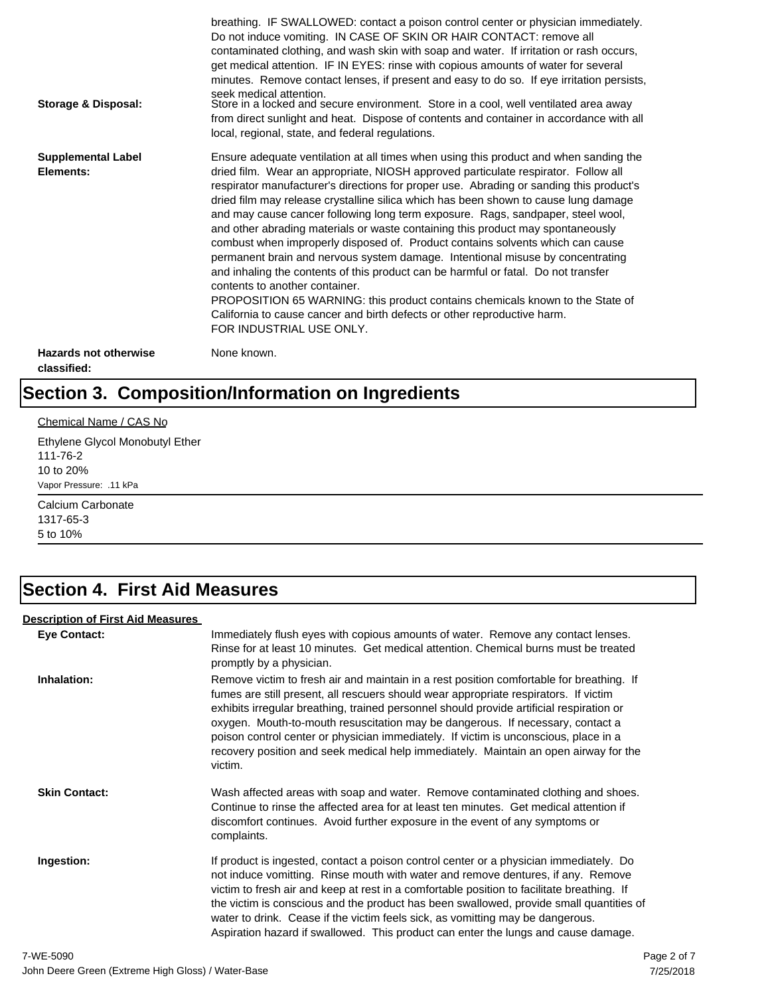| Storage & Disposal:                         | breathing. IF SWALLOWED: contact a poison control center or physician immediately.<br>Do not induce vomiting. IN CASE OF SKIN OR HAIR CONTACT: remove all<br>contaminated clothing, and wash skin with soap and water. If irritation or rash occurs,<br>get medical attention. IF IN EYES: rinse with copious amounts of water for several<br>minutes. Remove contact lenses, if present and easy to do so. If eye irritation persists,<br>seek medical attention.<br>Store in a locked and secure environment. Store in a cool, well ventilated area away<br>from direct sunlight and heat. Dispose of contents and container in accordance with all<br>local, regional, state, and federal regulations.                                                                                                                                                                                                                                                                                                                |
|---------------------------------------------|--------------------------------------------------------------------------------------------------------------------------------------------------------------------------------------------------------------------------------------------------------------------------------------------------------------------------------------------------------------------------------------------------------------------------------------------------------------------------------------------------------------------------------------------------------------------------------------------------------------------------------------------------------------------------------------------------------------------------------------------------------------------------------------------------------------------------------------------------------------------------------------------------------------------------------------------------------------------------------------------------------------------------|
| <b>Supplemental Label</b><br>Elements:      | Ensure adequate ventilation at all times when using this product and when sanding the<br>dried film. Wear an appropriate, NIOSH approved particulate respirator. Follow all<br>respirator manufacturer's directions for proper use. Abrading or sanding this product's<br>dried film may release crystalline silica which has been shown to cause lung damage<br>and may cause cancer following long term exposure. Rags, sandpaper, steel wool,<br>and other abrading materials or waste containing this product may spontaneously<br>combust when improperly disposed of. Product contains solvents which can cause<br>permanent brain and nervous system damage. Intentional misuse by concentrating<br>and inhaling the contents of this product can be harmful or fatal. Do not transfer<br>contents to another container.<br>PROPOSITION 65 WARNING: this product contains chemicals known to the State of<br>California to cause cancer and birth defects or other reproductive harm.<br>FOR INDUSTRIAL USE ONLY. |
| <b>Hazards not otherwise</b><br>classified: | None known.                                                                                                                                                                                                                                                                                                                                                                                                                                                                                                                                                                                                                                                                                                                                                                                                                                                                                                                                                                                                              |

# **Section 3. Composition/Information on Ingredients**

### Chemical Name / CAS No

Ethylene Glycol Monobutyl Ether 111-76-2 10 to 20% Vapor Pressure: .11 kPa

Calcium Carbonate 1317-65-3 5 to 10%

### **Section 4. First Aid Measures**

### **Description of First Aid Measures**

| <b>Eye Contact:</b>  | Immediately flush eyes with copious amounts of water. Remove any contact lenses.<br>Rinse for at least 10 minutes. Get medical attention. Chemical burns must be treated<br>promptly by a physician.                                                                                                                                                                                                                                                                                                                                                      |
|----------------------|-----------------------------------------------------------------------------------------------------------------------------------------------------------------------------------------------------------------------------------------------------------------------------------------------------------------------------------------------------------------------------------------------------------------------------------------------------------------------------------------------------------------------------------------------------------|
| Inhalation:          | Remove victim to fresh air and maintain in a rest position comfortable for breathing. If<br>fumes are still present, all rescuers should wear appropriate respirators. If victim<br>exhibits irregular breathing, trained personnel should provide artificial respiration or<br>oxygen. Mouth-to-mouth resuscitation may be dangerous. If necessary, contact a<br>poison control center or physician immediately. If victim is unconscious, place in a<br>recovery position and seek medical help immediately. Maintain an open airway for the<br>victim. |
| <b>Skin Contact:</b> | Wash affected areas with soap and water. Remove contaminated clothing and shoes.<br>Continue to rinse the affected area for at least ten minutes. Get medical attention if<br>discomfort continues. Avoid further exposure in the event of any symptoms or<br>complaints.                                                                                                                                                                                                                                                                                 |
| Ingestion:           | If product is ingested, contact a poison control center or a physician immediately. Do<br>not induce vomitting. Rinse mouth with water and remove dentures, if any. Remove<br>victim to fresh air and keep at rest in a comfortable position to facilitate breathing. If<br>the victim is conscious and the product has been swallowed, provide small quantities of<br>water to drink. Cease if the victim feels sick, as vomitting may be dangerous.<br>Aspiration hazard if swallowed. This product can enter the lungs and cause damage.               |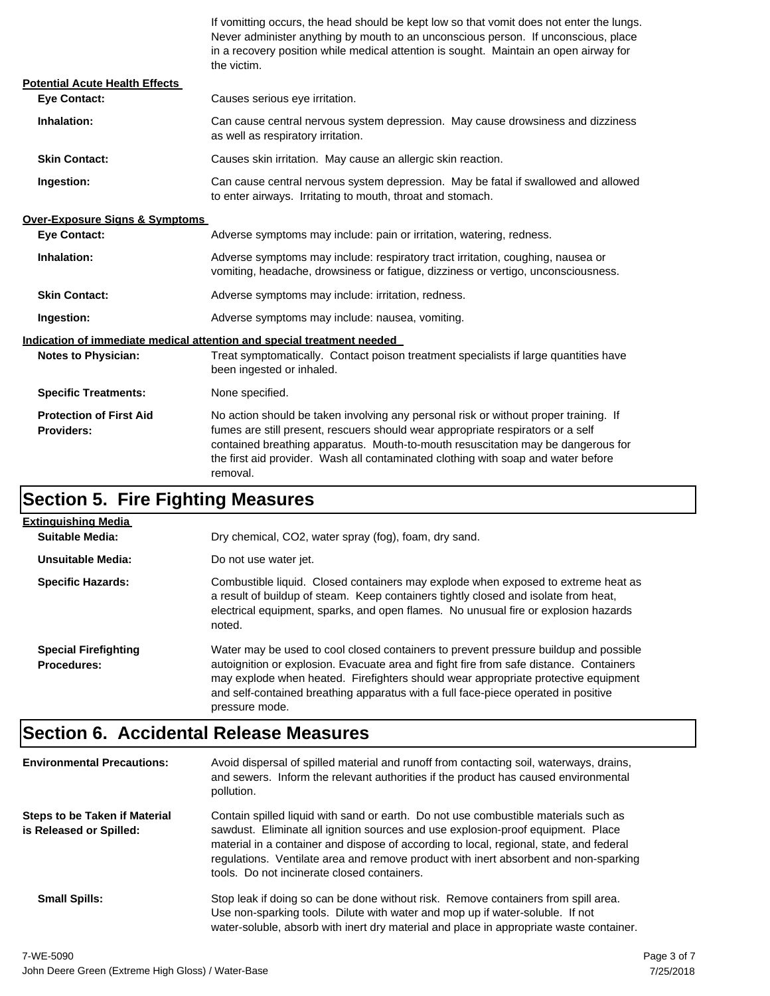If vomitting occurs, the head should be kept low so that vomit does not enter the lungs. Never administer anything by mouth to an unconscious person. If unconscious, place in a recovery position while medical attention is sought. Maintain an open airway for the victim.

| <b>Potential Acute Health Effects</b>               |                                                                                                                                                                                                                                                                                                                                                              |  |  |
|-----------------------------------------------------|--------------------------------------------------------------------------------------------------------------------------------------------------------------------------------------------------------------------------------------------------------------------------------------------------------------------------------------------------------------|--|--|
| <b>Eye Contact:</b>                                 | Causes serious eye irritation.                                                                                                                                                                                                                                                                                                                               |  |  |
| Inhalation:                                         | Can cause central nervous system depression. May cause drowsiness and dizziness<br>as well as respiratory irritation.                                                                                                                                                                                                                                        |  |  |
| <b>Skin Contact:</b>                                | Causes skin irritation. May cause an allergic skin reaction.                                                                                                                                                                                                                                                                                                 |  |  |
| Ingestion:                                          | Can cause central nervous system depression. May be fatal if swallowed and allowed<br>to enter airways. Irritating to mouth, throat and stomach.                                                                                                                                                                                                             |  |  |
| <b>Over-Exposure Signs &amp; Symptoms</b>           |                                                                                                                                                                                                                                                                                                                                                              |  |  |
| <b>Eye Contact:</b>                                 | Adverse symptoms may include: pain or irritation, watering, redness.                                                                                                                                                                                                                                                                                         |  |  |
| Inhalation:                                         | Adverse symptoms may include: respiratory tract irritation, coughing, nausea or<br>vomiting, headache, drowsiness or fatigue, dizziness or vertigo, unconsciousness.                                                                                                                                                                                         |  |  |
| <b>Skin Contact:</b>                                | Adverse symptoms may include: irritation, redness.                                                                                                                                                                                                                                                                                                           |  |  |
| Ingestion:                                          | Adverse symptoms may include: nausea, vomiting.                                                                                                                                                                                                                                                                                                              |  |  |
|                                                     | Indication of immediate medical attention and special treatment needed                                                                                                                                                                                                                                                                                       |  |  |
| <b>Notes to Physician:</b>                          | Treat symptomatically. Contact poison treatment specialists if large quantities have<br>been ingested or inhaled.                                                                                                                                                                                                                                            |  |  |
| <b>Specific Treatments:</b>                         | None specified.                                                                                                                                                                                                                                                                                                                                              |  |  |
| <b>Protection of First Aid</b><br><b>Providers:</b> | No action should be taken involving any personal risk or without proper training. If<br>fumes are still present, rescuers should wear appropriate respirators or a self<br>contained breathing apparatus. Mouth-to-mouth resuscitation may be dangerous for<br>the first aid provider. Wash all contaminated clothing with soap and water before<br>removal. |  |  |

# **Section 5. Fire Fighting Measures**

| Extinguishing Media                               |                                                                                                                                                                                                                                                                                                                                                                              |
|---------------------------------------------------|------------------------------------------------------------------------------------------------------------------------------------------------------------------------------------------------------------------------------------------------------------------------------------------------------------------------------------------------------------------------------|
| Suitable Media:                                   | Dry chemical, CO2, water spray (fog), foam, dry sand.                                                                                                                                                                                                                                                                                                                        |
| Unsuitable Media:                                 | Do not use water jet.                                                                                                                                                                                                                                                                                                                                                        |
| <b>Specific Hazards:</b>                          | Combustible liquid. Closed containers may explode when exposed to extreme heat as<br>a result of buildup of steam. Keep containers tightly closed and isolate from heat,<br>electrical equipment, sparks, and open flames. No unusual fire or explosion hazards<br>noted.                                                                                                    |
| <b>Special Firefighting</b><br><b>Procedures:</b> | Water may be used to cool closed containers to prevent pressure buildup and possible<br>autoignition or explosion. Evacuate area and fight fire from safe distance. Containers<br>may explode when heated. Firefighters should wear appropriate protective equipment<br>and self-contained breathing apparatus with a full face-piece operated in positive<br>pressure mode. |

# **Section 6. Accidental Release Measures**

| <b>Environmental Precautions:</b>                               | Avoid dispersal of spilled material and runoff from contacting soil, waterways, drains,<br>and sewers. Inform the relevant authorities if the product has caused environmental<br>pollution.                                                                                                                                                                                                              |
|-----------------------------------------------------------------|-----------------------------------------------------------------------------------------------------------------------------------------------------------------------------------------------------------------------------------------------------------------------------------------------------------------------------------------------------------------------------------------------------------|
| <b>Steps to be Taken if Material</b><br>is Released or Spilled: | Contain spilled liquid with sand or earth. Do not use combustible materials such as<br>sawdust. Eliminate all ignition sources and use explosion-proof equipment. Place<br>material in a container and dispose of according to local, regional, state, and federal<br>regulations. Ventilate area and remove product with inert absorbent and non-sparking<br>tools. Do not incinerate closed containers. |
| <b>Small Spills:</b>                                            | Stop leak if doing so can be done without risk. Remove containers from spill area.<br>Use non-sparking tools. Dilute with water and mop up if water-soluble. If not<br>water-soluble, absorb with inert dry material and place in appropriate waste container.                                                                                                                                            |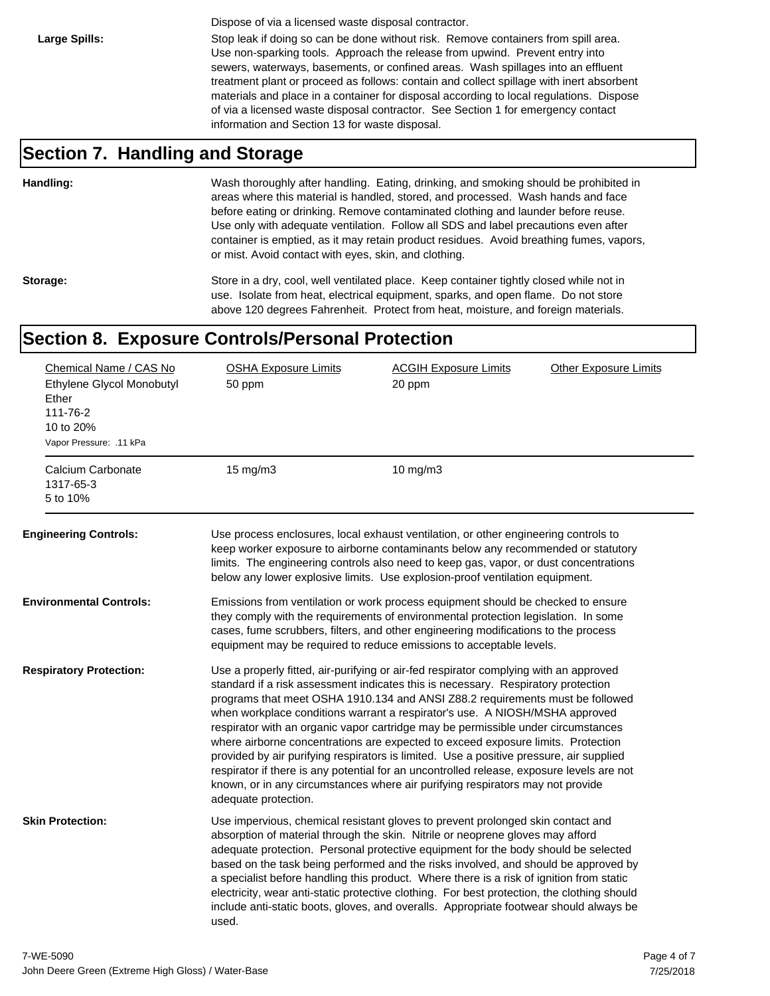Dispose of via a licensed waste disposal contractor.

Large Spills: Stop leak if doing so can be done without risk. Remove containers from spill area. Use non-sparking tools. Approach the release from upwind. Prevent entry into sewers, waterways, basements, or confined areas. Wash spillages into an effluent treatment plant or proceed as follows: contain and collect spillage with inert absorbent materials and place in a container for disposal according to local regulations. Dispose of via a licensed waste disposal contractor. See Section 1 for emergency contact information and Section 13 for waste disposal.

### **Section 7. Handling and Storage**

**Handling:** Wash thoroughly after handling. Eating, drinking, and smoking should be prohibited in areas where this material is handled, stored, and processed. Wash hands and face before eating or drinking. Remove contaminated clothing and launder before reuse. Use only with adequate ventilation. Follow all SDS and label precautions even after container is emptied, as it may retain product residues. Avoid breathing fumes, vapors, or mist. Avoid contact with eyes, skin, and clothing.

Storage: Store in a dry, cool, well ventilated place. Keep container tightly closed while not in use. Isolate from heat, electrical equipment, sparks, and open flame. Do not store above 120 degrees Fahrenheit. Protect from heat, moisture, and foreign materials.

### **Section 8. Exposure Controls/Personal Protection**

| Chemical Name / CAS No<br>Ethylene Glycol Monobutyl<br>Ether<br>111-76-2<br>10 to 20%<br>Vapor Pressure: .11 kPa | <b>OSHA Exposure Limits</b><br>50 ppm | <b>ACGIH Exposure Limits</b><br>20 ppm                                                                                                                                                                                                                                                                                                                                                                                                                                                                                                                                                                                                                                                                                                                                                        | <b>Other Exposure Limits</b> |
|------------------------------------------------------------------------------------------------------------------|---------------------------------------|-----------------------------------------------------------------------------------------------------------------------------------------------------------------------------------------------------------------------------------------------------------------------------------------------------------------------------------------------------------------------------------------------------------------------------------------------------------------------------------------------------------------------------------------------------------------------------------------------------------------------------------------------------------------------------------------------------------------------------------------------------------------------------------------------|------------------------------|
| Calcium Carbonate<br>1317-65-3<br>5 to 10%                                                                       | 15 mg/m3                              | $10$ mg/m $3$                                                                                                                                                                                                                                                                                                                                                                                                                                                                                                                                                                                                                                                                                                                                                                                 |                              |
| <b>Engineering Controls:</b>                                                                                     |                                       | Use process enclosures, local exhaust ventilation, or other engineering controls to<br>keep worker exposure to airborne contaminants below any recommended or statutory<br>limits. The engineering controls also need to keep gas, vapor, or dust concentrations<br>below any lower explosive limits. Use explosion-proof ventilation equipment.                                                                                                                                                                                                                                                                                                                                                                                                                                              |                              |
| Environmental Controls:                                                                                          |                                       | Emissions from ventilation or work process equipment should be checked to ensure<br>they comply with the requirements of environmental protection legislation. In some<br>cases, fume scrubbers, filters, and other engineering modifications to the process<br>equipment may be required to reduce emissions to acceptable levels.                                                                                                                                                                                                                                                                                                                                                                                                                                                           |                              |
| <b>Respiratory Protection:</b>                                                                                   | adequate protection.                  | Use a properly fitted, air-purifying or air-fed respirator complying with an approved<br>standard if a risk assessment indicates this is necessary. Respiratory protection<br>programs that meet OSHA 1910.134 and ANSI Z88.2 requirements must be followed<br>when workplace conditions warrant a respirator's use. A NIOSH/MSHA approved<br>respirator with an organic vapor cartridge may be permissible under circumstances<br>where airborne concentrations are expected to exceed exposure limits. Protection<br>provided by air purifying respirators is limited. Use a positive pressure, air supplied<br>respirator if there is any potential for an uncontrolled release, exposure levels are not<br>known, or in any circumstances where air purifying respirators may not provide |                              |
| <b>Skin Protection:</b>                                                                                          | used.                                 | Use impervious, chemical resistant gloves to prevent prolonged skin contact and<br>absorption of material through the skin. Nitrile or neoprene gloves may afford<br>adequate protection. Personal protective equipment for the body should be selected<br>based on the task being performed and the risks involved, and should be approved by<br>a specialist before handling this product. Where there is a risk of ignition from static<br>electricity, wear anti-static protective clothing. For best protection, the clothing should<br>include anti-static boots, gloves, and overalls. Appropriate footwear should always be                                                                                                                                                           |                              |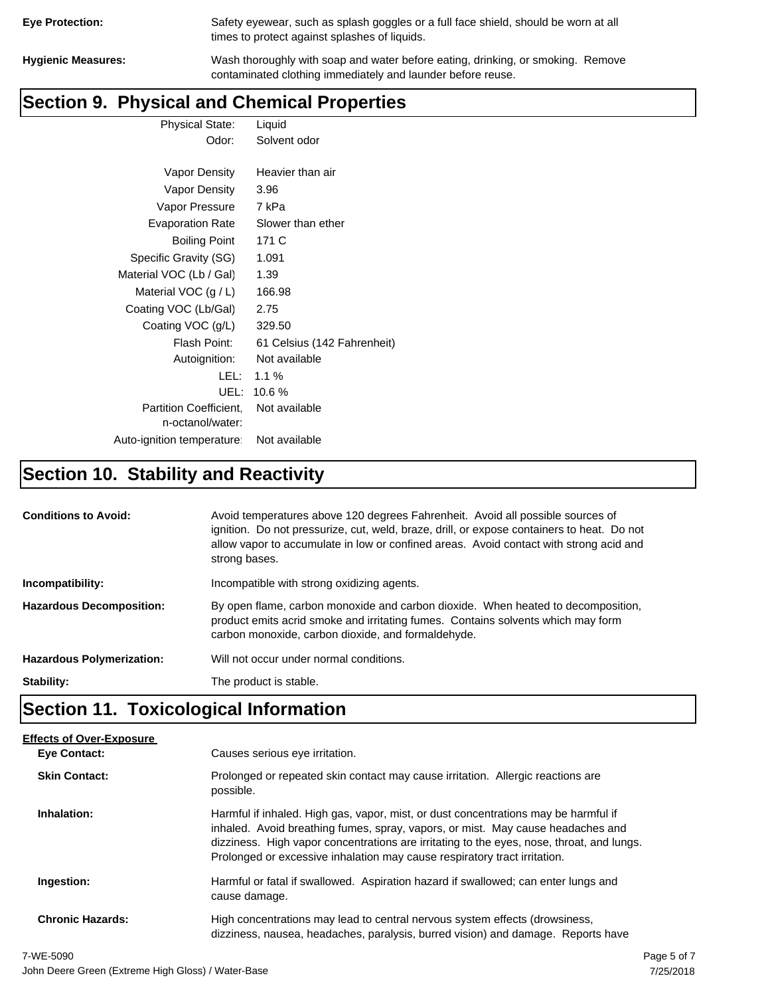| <b>Eye Protection:</b> |  |
|------------------------|--|
|                        |  |

Safety eyewear, such as splash goggles or a full face shield, should be worn at all times to protect against splashes of liquids.

**Hygienic Measures:** Wash thoroughly with soap and water before eating, drinking, or smoking. Remove contaminated clothing immediately and launder before reuse.

### **Section 9. Physical and Chemical Properties**

Physical State: Liquid Odor: Solvent odor

| Vapor Density                                     | Heavier than air            |
|---------------------------------------------------|-----------------------------|
| Vapor Density                                     | 3.96                        |
| Vapor Pressure                                    | 7 kPa                       |
| <b>Evaporation Rate</b>                           | Slower than ether           |
| <b>Boiling Point</b>                              | 171 C                       |
| Specific Gravity (SG)                             | 1.091                       |
| Material VOC (Lb / Gal)                           | 1.39                        |
| Material VOC $(g/L)$                              | 166.98                      |
| Coating VOC (Lb/Gal)                              | 2.75                        |
| Coating VOC (g/L)                                 | 329.50                      |
| Flash Point:                                      | 61 Celsius (142 Fahrenheit) |
| Autoignition:                                     | Not available               |
| LEL: I                                            | $1.1\%$                     |
| UEL:                                              | 10.6%                       |
| <b>Partition Coefficient.</b><br>n-octanol/water: | Not available               |
| Auto-ignition temperature:                        | Not available               |

# **Section 10. Stability and Reactivity**

| <b>Conditions to Avoid:</b>      | Avoid temperatures above 120 degrees Fahrenheit. Avoid all possible sources of<br>ignition. Do not pressurize, cut, weld, braze, drill, or expose containers to heat. Do not<br>allow vapor to accumulate in low or confined areas. Avoid contact with strong acid and<br>strong bases. |
|----------------------------------|-----------------------------------------------------------------------------------------------------------------------------------------------------------------------------------------------------------------------------------------------------------------------------------------|
| Incompatibility:                 | Incompatible with strong oxidizing agents.                                                                                                                                                                                                                                              |
| <b>Hazardous Decomposition:</b>  | By open flame, carbon monoxide and carbon dioxide. When heated to decomposition,<br>product emits acrid smoke and irritating fumes. Contains solvents which may form<br>carbon monoxide, carbon dioxide, and formaldehyde.                                                              |
| <b>Hazardous Polymerization:</b> | Will not occur under normal conditions.                                                                                                                                                                                                                                                 |
| Stability:                       | The product is stable.                                                                                                                                                                                                                                                                  |

# **Section 11. Toxicological Information**

| <b>Effects of Over-Exposure</b> |                                                                                                                                                                                                                                                                                                                                                  |
|---------------------------------|--------------------------------------------------------------------------------------------------------------------------------------------------------------------------------------------------------------------------------------------------------------------------------------------------------------------------------------------------|
| <b>Eve Contact:</b>             | Causes serious eye irritation.                                                                                                                                                                                                                                                                                                                   |
| <b>Skin Contact:</b>            | Prolonged or repeated skin contact may cause irritation. Allergic reactions are<br>possible.                                                                                                                                                                                                                                                     |
| Inhalation:                     | Harmful if inhaled. High gas, vapor, mist, or dust concentrations may be harmful if<br>inhaled. Avoid breathing fumes, spray, vapors, or mist. May cause headaches and<br>dizziness. High vapor concentrations are irritating to the eyes, nose, throat, and lungs.<br>Prolonged or excessive inhalation may cause respiratory tract irritation. |
| Ingestion:                      | Harmful or fatal if swallowed. Aspiration hazard if swallowed; can enter lungs and<br>cause damage.                                                                                                                                                                                                                                              |
| <b>Chronic Hazards:</b>         | High concentrations may lead to central nervous system effects (drowsiness,<br>dizziness, nausea, headaches, paralysis, burred vision) and damage. Reports have                                                                                                                                                                                  |
|                                 |                                                                                                                                                                                                                                                                                                                                                  |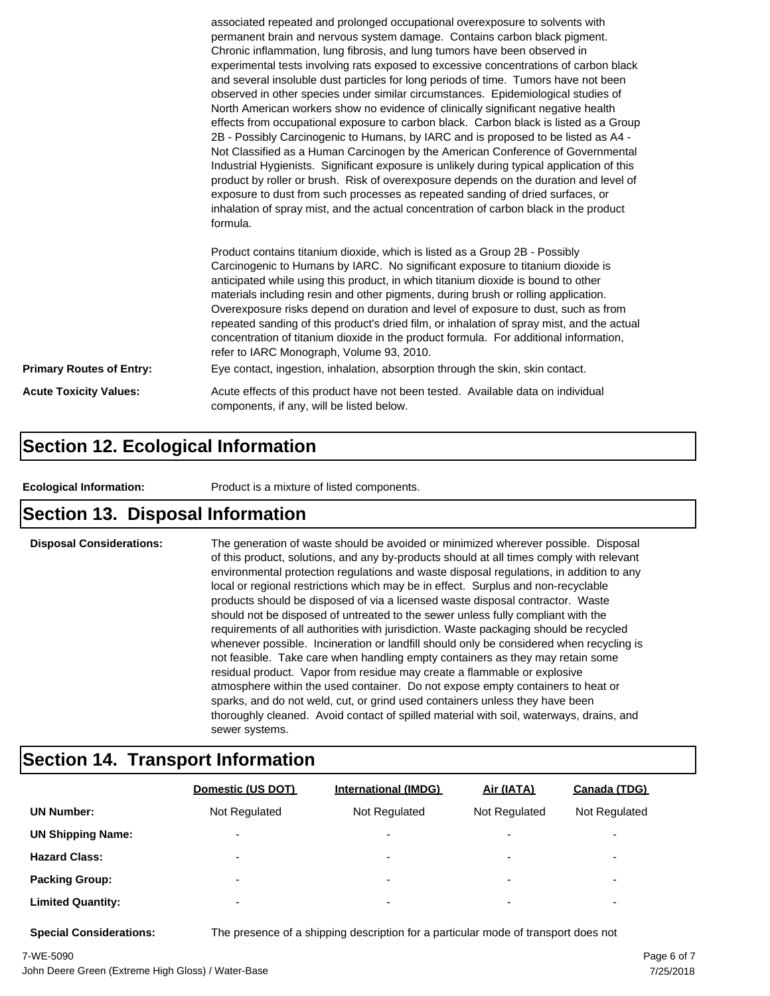|                                 | associated repeated and prolonged occupational overexposure to solvents with<br>permanent brain and nervous system damage. Contains carbon black pigment.<br>Chronic inflammation, lung fibrosis, and lung tumors have been observed in<br>experimental tests involving rats exposed to excessive concentrations of carbon black<br>and several insoluble dust particles for long periods of time. Tumors have not been<br>observed in other species under similar circumstances. Epidemiological studies of<br>North American workers show no evidence of clinically significant negative health<br>effects from occupational exposure to carbon black. Carbon black is listed as a Group<br>2B - Possibly Carcinogenic to Humans, by IARC and is proposed to be listed as A4 -<br>Not Classified as a Human Carcinogen by the American Conference of Governmental<br>Industrial Hygienists. Significant exposure is unlikely during typical application of this<br>product by roller or brush. Risk of overexposure depends on the duration and level of<br>exposure to dust from such processes as repeated sanding of dried surfaces, or<br>inhalation of spray mist, and the actual concentration of carbon black in the product<br>formula.<br>Product contains titanium dioxide, which is listed as a Group 2B - Possibly<br>Carcinogenic to Humans by IARC. No significant exposure to titanium dioxide is<br>anticipated while using this product, in which titanium dioxide is bound to other<br>materials including resin and other pigments, during brush or rolling application.<br>Overexposure risks depend on duration and level of exposure to dust, such as from |  |
|---------------------------------|------------------------------------------------------------------------------------------------------------------------------------------------------------------------------------------------------------------------------------------------------------------------------------------------------------------------------------------------------------------------------------------------------------------------------------------------------------------------------------------------------------------------------------------------------------------------------------------------------------------------------------------------------------------------------------------------------------------------------------------------------------------------------------------------------------------------------------------------------------------------------------------------------------------------------------------------------------------------------------------------------------------------------------------------------------------------------------------------------------------------------------------------------------------------------------------------------------------------------------------------------------------------------------------------------------------------------------------------------------------------------------------------------------------------------------------------------------------------------------------------------------------------------------------------------------------------------------------------------------------------------------------------------------------------------------|--|
|                                 | repeated sanding of this product's dried film, or inhalation of spray mist, and the actual<br>concentration of titanium dioxide in the product formula. For additional information,<br>refer to IARC Monograph, Volume 93, 2010.                                                                                                                                                                                                                                                                                                                                                                                                                                                                                                                                                                                                                                                                                                                                                                                                                                                                                                                                                                                                                                                                                                                                                                                                                                                                                                                                                                                                                                                   |  |
| <b>Primary Routes of Entry:</b> | Eye contact, ingestion, inhalation, absorption through the skin, skin contact.                                                                                                                                                                                                                                                                                                                                                                                                                                                                                                                                                                                                                                                                                                                                                                                                                                                                                                                                                                                                                                                                                                                                                                                                                                                                                                                                                                                                                                                                                                                                                                                                     |  |
| <b>Acute Toxicity Values:</b>   | Acute effects of this product have not been tested. Available data on individual<br>components, if any, will be listed below.                                                                                                                                                                                                                                                                                                                                                                                                                                                                                                                                                                                                                                                                                                                                                                                                                                                                                                                                                                                                                                                                                                                                                                                                                                                                                                                                                                                                                                                                                                                                                      |  |

### **Section 12. Ecological Information**

**Ecological Information:** Product is a mixture of listed components.

### **Section 13. Disposal Information**

**Disposal Considerations:** The generation of waste should be avoided or minimized wherever possible. Disposal of this product, solutions, and any by-products should at all times comply with relevant environmental protection regulations and waste disposal regulations, in addition to any local or regional restrictions which may be in effect. Surplus and non-recyclable products should be disposed of via a licensed waste disposal contractor. Waste should not be disposed of untreated to the sewer unless fully compliant with the requirements of all authorities with jurisdiction. Waste packaging should be recycled whenever possible. Incineration or landfill should only be considered when recycling is not feasible. Take care when handling empty containers as they may retain some residual product. Vapor from residue may create a flammable or explosive atmosphere within the used container. Do not expose empty containers to heat or sparks, and do not weld, cut, or grind used containers unless they have been thoroughly cleaned. Avoid contact of spilled material with soil, waterways, drains, and sewer systems.

### **Section 14. Transport Information**

|                          | Domestic (US DOT)        | <b>International (IMDG)</b> | Air (IATA)               | <b>Canada (TDG)</b>      |
|--------------------------|--------------------------|-----------------------------|--------------------------|--------------------------|
| <b>UN Number:</b>        | Not Regulated            | Not Regulated               | Not Regulated            | Not Regulated            |
| <b>UN Shipping Name:</b> | $\overline{\phantom{0}}$ | $\overline{\phantom{0}}$    | $\overline{\phantom{0}}$ | $\overline{\phantom{0}}$ |
| <b>Hazard Class:</b>     | $\overline{\phantom{0}}$ | $\overline{\phantom{0}}$    | $\overline{\phantom{0}}$ | $\overline{\phantom{0}}$ |
| <b>Packing Group:</b>    | $\overline{\phantom{0}}$ | ۰                           | $\overline{\phantom{0}}$ | $\overline{\phantom{0}}$ |
| <b>Limited Quantity:</b> | $\overline{\phantom{0}}$ | $\overline{\phantom{0}}$    | $\overline{\phantom{0}}$ | $\overline{\phantom{a}}$ |

**Special Considerations:** The presence of a shipping description for a particular mode of transport does not